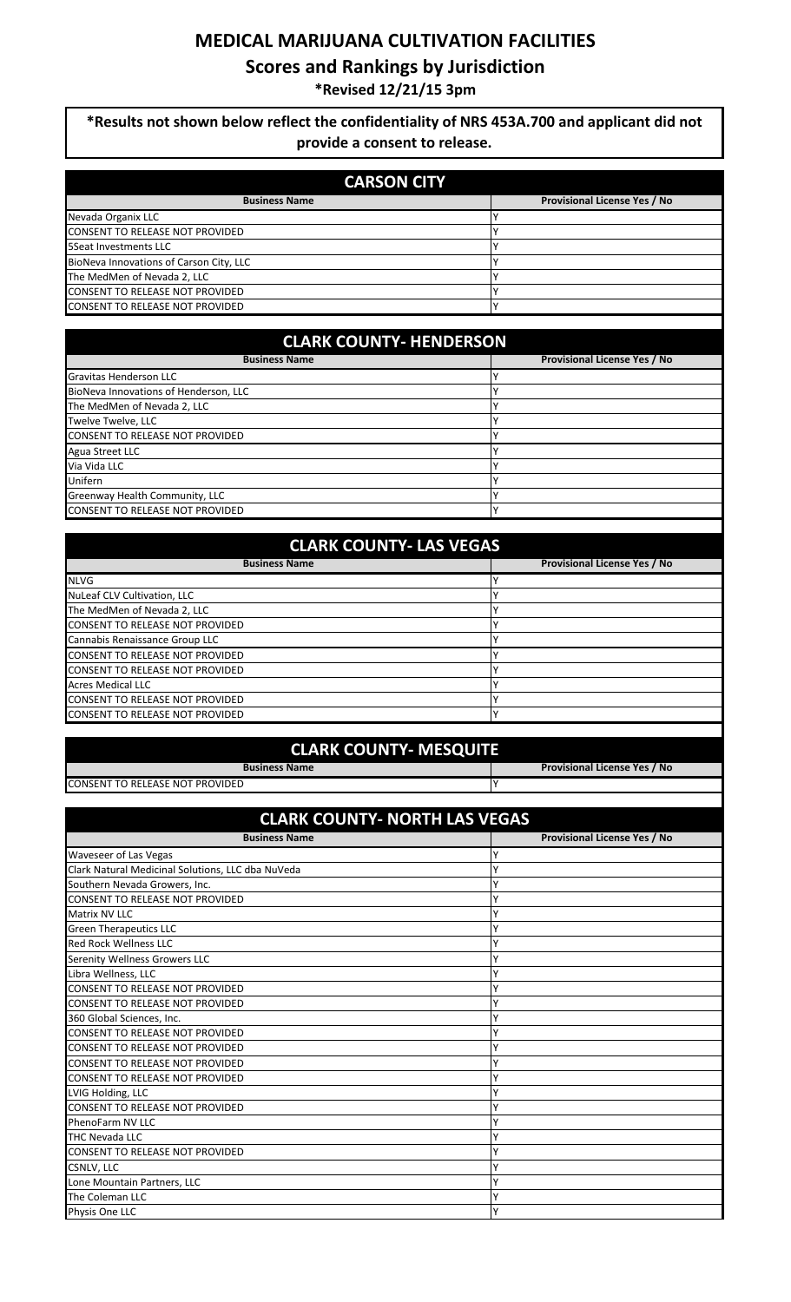**Scores and Rankings by Jurisdiction**

**\*Revised 12/21/15 3pm**

**\*Results not shown below reflect the confidentiality of NRS 453A.700 and applicant did not provide a consent to release.**

| <b>CARSON CITY</b>                      |                              |
|-----------------------------------------|------------------------------|
| <b>Business Name</b>                    | Provisional License Yes / No |
| Nevada Organix LLC                      |                              |
| <b>CONSENT TO RELEASE NOT PROVIDED</b>  |                              |
| 5 Seat Investments LLC                  |                              |
| BioNeva Innovations of Carson City, LLC |                              |
| The MedMen of Nevada 2, LLC             |                              |
| <b>CONSENT TO RELEASE NOT PROVIDED</b>  |                              |
| <b>CONSENT TO RELEASE NOT PROVIDED</b>  |                              |

| <b>CLARK COUNTY- HENDERSON</b>         |                                     |  |  |  |  |
|----------------------------------------|-------------------------------------|--|--|--|--|
| <b>Business Name</b>                   | <b>Provisional License Yes / No</b> |  |  |  |  |
| <b>Gravitas Henderson LLC</b>          |                                     |  |  |  |  |
| BioNeva Innovations of Henderson, LLC  |                                     |  |  |  |  |
| The MedMen of Nevada 2, LLC            |                                     |  |  |  |  |
| Twelve Twelve, LLC                     |                                     |  |  |  |  |
| <b>CONSENT TO RELEASE NOT PROVIDED</b> |                                     |  |  |  |  |
| Agua Street LLC                        |                                     |  |  |  |  |
| Via Vida LLC                           |                                     |  |  |  |  |
| Unifern                                |                                     |  |  |  |  |
| Greenway Health Community, LLC         |                                     |  |  |  |  |
| CONSENT TO RELEASE NOT PROVIDED        |                                     |  |  |  |  |

| <b>CLARK COUNTY- LAS VEGAS</b> |  |  |  |  |  |  |  |  |
|--------------------------------|--|--|--|--|--|--|--|--|
|                                |  |  |  |  |  |  |  |  |

| <b>Business Name</b>                   | Provisional License Yes / No |
|----------------------------------------|------------------------------|
| <b>NLVG</b>                            |                              |
| <b>NuLeaf CLV Cultivation, LLC</b>     |                              |
| The MedMen of Nevada 2, LLC            |                              |
| <b>CONSENT TO RELEASE NOT PROVIDED</b> |                              |
| Cannabis Renaissance Group LLC         |                              |
| <b>CONSENT TO RELEASE NOT PROVIDED</b> |                              |
| <b>CONSENT TO RELEASE NOT PROVIDED</b> |                              |
| <b>Acres Medical LLC</b>               |                              |
| <b>CONSENT TO RELEASE NOT PROVIDED</b> |                              |
| <b>CONSENT TO RELEASE NOT PROVIDED</b> |                              |

| <b>CLARK COUNTY- MESQUITE</b>   |                                     |
|---------------------------------|-------------------------------------|
| <b>Business Name</b>            | <b>Provisional License Yes / No</b> |
| CONSENT TO RELEASE NOT PROVIDED |                                     |

| <b>CLARK COUNTY- NORTH LAS VEGAS</b>              |                                     |  |  |  |  |
|---------------------------------------------------|-------------------------------------|--|--|--|--|
| <b>Business Name</b>                              | <b>Provisional License Yes / No</b> |  |  |  |  |
| Waveseer of Las Vegas                             | ٧                                   |  |  |  |  |
| Clark Natural Medicinal Solutions, LLC dba NuVeda |                                     |  |  |  |  |
| Southern Nevada Growers, Inc.                     |                                     |  |  |  |  |
| <b>CONSENT TO RELEASE NOT PROVIDED</b>            |                                     |  |  |  |  |
| Matrix NV LLC                                     |                                     |  |  |  |  |
| <b>Green Therapeutics LLC</b>                     |                                     |  |  |  |  |
| <b>Red Rock Wellness LLC</b>                      |                                     |  |  |  |  |
| <b>Serenity Wellness Growers LLC</b>              |                                     |  |  |  |  |
| Libra Wellness, LLC                               |                                     |  |  |  |  |
| <b>CONSENT TO RELEASE NOT PROVIDED</b>            |                                     |  |  |  |  |
| <b>CONSENT TO RELEASE NOT PROVIDED</b>            |                                     |  |  |  |  |
| 360 Global Sciences, Inc.                         |                                     |  |  |  |  |
| <b>CONSENT TO RELEASE NOT PROVIDED</b>            |                                     |  |  |  |  |
| <b>CONSENT TO RELEASE NOT PROVIDED</b>            |                                     |  |  |  |  |
| <b>CONSENT TO RELEASE NOT PROVIDED</b>            |                                     |  |  |  |  |
| <b>CONSENT TO RELEASE NOT PROVIDED</b>            |                                     |  |  |  |  |
| LVIG Holding, LLC                                 |                                     |  |  |  |  |
| CONSENT TO RELEASE NOT PROVIDED                   |                                     |  |  |  |  |
| PhenoFarm NV LLC                                  |                                     |  |  |  |  |
| <b>THC Nevada LLC</b>                             |                                     |  |  |  |  |
| CONSENT TO RELEASE NOT PROVIDED                   |                                     |  |  |  |  |
| CSNLV, LLC                                        |                                     |  |  |  |  |
| Lone Mountain Partners, LLC                       |                                     |  |  |  |  |
| The Coleman LLC                                   |                                     |  |  |  |  |
| Physis One LLC                                    |                                     |  |  |  |  |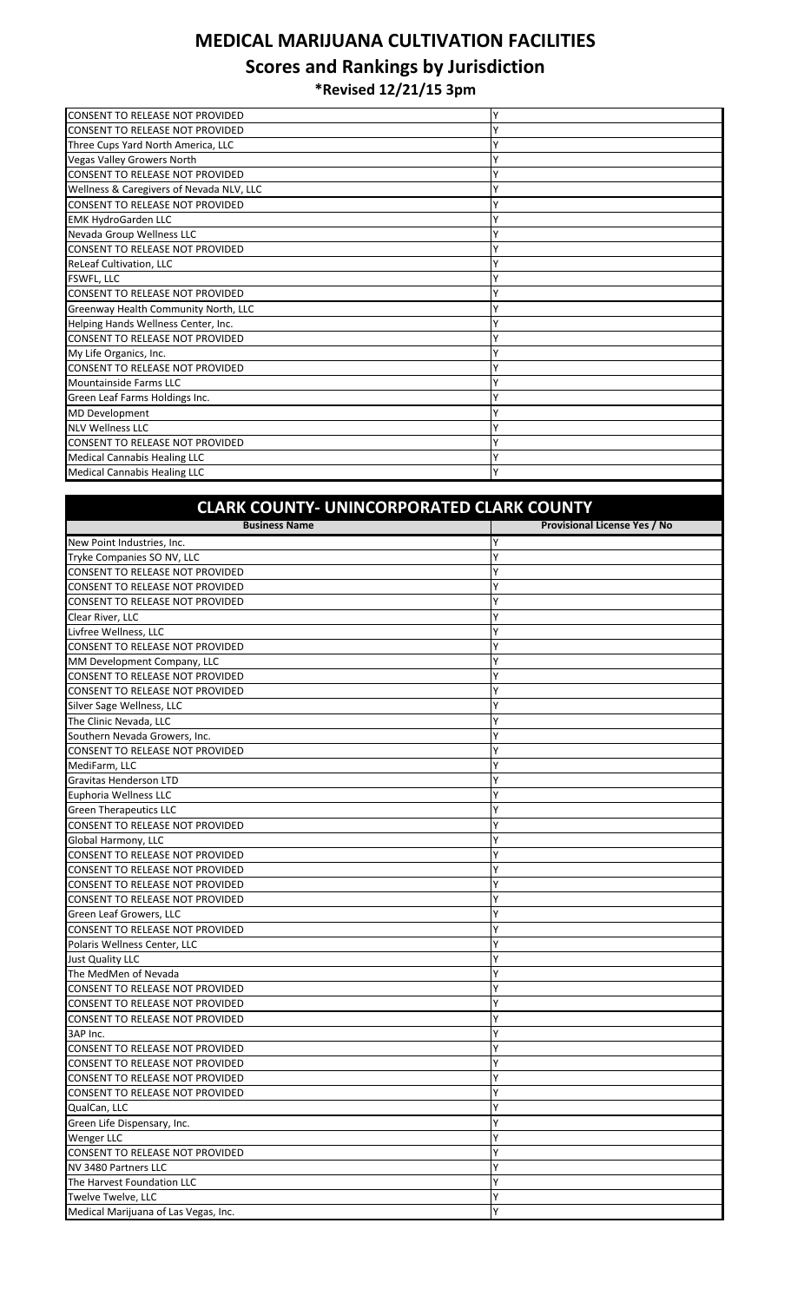**Scores and Rankings by Jurisdiction**

**\*Revised 12/21/15 3pm**

| <b>CONSENT TO RELEASE NOT PROVIDED</b>   |  |
|------------------------------------------|--|
| <b>CONSENT TO RELEASE NOT PROVIDED</b>   |  |
| Three Cups Yard North America, LLC       |  |
| <b>Vegas Valley Growers North</b>        |  |
| <b>CONSENT TO RELEASE NOT PROVIDED</b>   |  |
| Wellness & Caregivers of Nevada NLV, LLC |  |
| <b>CONSENT TO RELEASE NOT PROVIDED</b>   |  |
| <b>EMK HydroGarden LLC</b>               |  |
| Nevada Group Wellness LLC                |  |
| <b>CONSENT TO RELEASE NOT PROVIDED</b>   |  |
| <b>ReLeaf Cultivation, LLC</b>           |  |
| FSWFL, LLC                               |  |
| <b>CONSENT TO RELEASE NOT PROVIDED</b>   |  |
| Greenway Health Community North, LLC     |  |
| Helping Hands Wellness Center, Inc.      |  |
| CONSENT TO RELEASE NOT PROVIDED          |  |
| My Life Organics, Inc.                   |  |
| <b>CONSENT TO RELEASE NOT PROVIDED</b>   |  |
| Mountainside Farms LLC                   |  |
| Green Leaf Farms Holdings Inc.           |  |
| <b>MD Development</b>                    |  |
| <b>NLV Wellness LLC</b>                  |  |
| <b>CONSENT TO RELEASE NOT PROVIDED</b>   |  |
| <b>Medical Cannabis Healing LLC</b>      |  |
| <b>Medical Cannabis Healing LLC</b>      |  |

| <b>CLARK COUNTY- UNINCORPORATED CLARK COUNTY</b> |                                     |
|--------------------------------------------------|-------------------------------------|
| <b>Business Name</b>                             | <b>Provisional License Yes / No</b> |
| New Point Industries, Inc.                       | γ                                   |
| Tryke Companies SO NV, LLC                       | Υ                                   |
| <b>CONSENT TO RELEASE NOT PROVIDED</b>           | Υ                                   |
| <b>CONSENT TO RELEASE NOT PROVIDED</b>           | γ                                   |
| <b>CONSENT TO RELEASE NOT PROVIDED</b>           | Υ                                   |
| Clear River, LLC                                 | Υ                                   |
| Livfree Wellness, LLC                            | γ                                   |
| <b>CONSENT TO RELEASE NOT PROVIDED</b>           | Υ                                   |
| MM Development Company, LLC                      | Υ                                   |
| <b>CONSENT TO RELEASE NOT PROVIDED</b>           | Υ                                   |
| <b>CONSENT TO RELEASE NOT PROVIDED</b>           | Υ                                   |
| Silver Sage Wellness, LLC                        | Υ                                   |
| The Clinic Nevada, LLC                           | Υ                                   |
| Southern Nevada Growers, Inc.                    | Υ                                   |
| <b>CONSENT TO RELEASE NOT PROVIDED</b>           |                                     |
| MediFarm, LLC                                    | Υ                                   |
| <b>Gravitas Henderson LTD</b>                    | Υ                                   |
| <b>Euphoria Wellness LLC</b>                     | Υ                                   |
| <b>Green Therapeutics LLC</b>                    | Υ                                   |
| CONSENT TO RELEASE NOT PROVIDED                  | Υ                                   |
| Global Harmony, LLC                              | Υ                                   |
| <b>CONSENT TO RELEASE NOT PROVIDED</b>           | Υ                                   |
| <b>CONSENT TO RELEASE NOT PROVIDED</b>           | Υ                                   |
| <b>CONSENT TO RELEASE NOT PROVIDED</b>           | Υ                                   |
| <b>CONSENT TO RELEASE NOT PROVIDED</b>           | Υ                                   |
| Green Leaf Growers, LLC                          | γ                                   |
| <b>CONSENT TO RELEASE NOT PROVIDED</b>           | Υ                                   |
| Polaris Wellness Center, LLC                     | Υ                                   |
| <b>Just Quality LLC</b>                          | Υ                                   |
| The MedMen of Nevada                             | Υ                                   |
| <b>CONSENT TO RELEASE NOT PROVIDED</b>           | Υ                                   |
| <b>CONSENT TO RELEASE NOT PROVIDED</b>           | Υ                                   |
| <b>CONSENT TO RELEASE NOT PROVIDED</b>           | Υ                                   |
| 3AP Inc.                                         | Υ                                   |
| <b>CONSENT TO RELEASE NOT PROVIDED</b>           | Υ                                   |
| <b>CONSENT TO RELEASE NOT PROVIDED</b>           | Υ                                   |
| CONSENT TO RELEASE NOT PROVIDED                  | Υ                                   |
| CONSENT TO RELEASE NOT PROVIDED                  | Υ                                   |
| QualCan, LLC                                     | Υ                                   |
| Green Life Dispensary, Inc.                      | Υ                                   |
| Wenger LLC                                       | Υ                                   |
| <b>CONSENT TO RELEASE NOT PROVIDED</b>           | Υ                                   |
| NV 3480 Partners LLC                             | Υ                                   |
| The Harvest Foundation LLC                       | Υ                                   |
| Twelve Twelve, LLC                               | Υ                                   |
| Medical Marijuana of Las Vegas, Inc.             |                                     |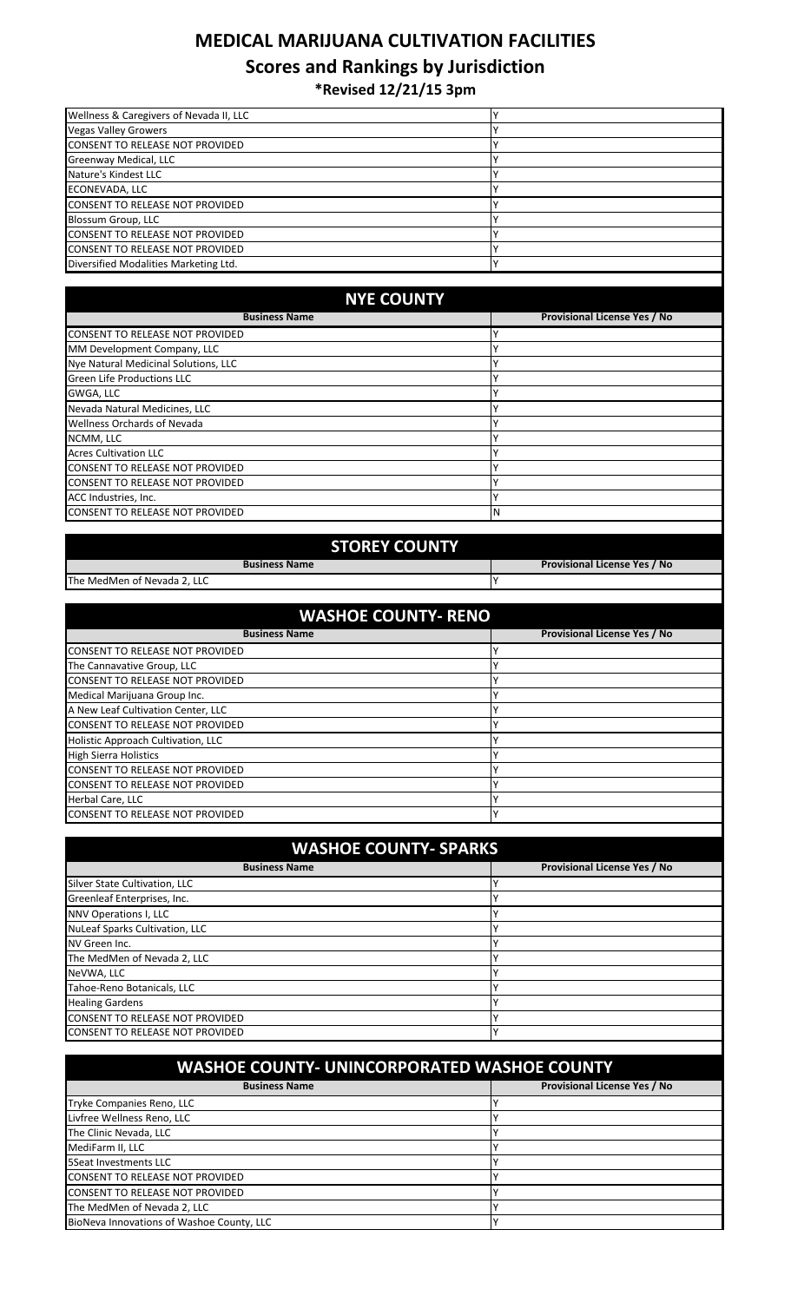#### **Scores and Rankings by Jurisdiction**

**\*Revised 12/21/15 3pm**

| Wellness & Caregivers of Nevada II, LLC |  |
|-----------------------------------------|--|
| <b>Vegas Valley Growers</b>             |  |
| <b>CONSENT TO RELEASE NOT PROVIDED</b>  |  |
| Greenway Medical, LLC                   |  |
| Nature's Kindest LLC                    |  |
| ECONEVADA, LLC                          |  |
| <b>CONSENT TO RELEASE NOT PROVIDED</b>  |  |
| <b>Blossum Group, LLC</b>               |  |
| <b>CONSENT TO RELEASE NOT PROVIDED</b>  |  |
| <b>CONSENT TO RELEASE NOT PROVIDED</b>  |  |
| Diversified Modalities Marketing Ltd.   |  |

### **NYE COUNTY**

| <b>Business Name</b>                   | <b>Provisional License Yes / No</b> |
|----------------------------------------|-------------------------------------|
| CONSENT TO RELEASE NOT PROVIDED        |                                     |
| MM Development Company, LLC            |                                     |
| Nye Natural Medicinal Solutions, LLC   |                                     |
| <b>Green Life Productions LLC</b>      |                                     |
| GWGA, LLC                              |                                     |
| Nevada Natural Medicines, LLC          |                                     |
| <b>Wellness Orchards of Nevada</b>     |                                     |
| NCMM, LLC                              |                                     |
| <b>Acres Cultivation LLC</b>           |                                     |
| <b>CONSENT TO RELEASE NOT PROVIDED</b> |                                     |
| <b>CONSENT TO RELEASE NOT PROVIDED</b> |                                     |
| ACC Industries, Inc.                   |                                     |
| <b>CONSENT TO RELEASE NOT PROVIDED</b> | N                                   |

## **STOREY COUNTY**

**Business Name Provisional License Yes / No**

|                                                                          | <b>Business Name</b> |
|--------------------------------------------------------------------------|----------------------|
|                                                                          |                      |
| $\mathsf{F}_{\mathsf{h}_{\mathsf{A}}}$ ModMon of Novada $\mathsf{A}$ ULC |                      |

| The MedMen of Nevada 2, LLC            | ν                            |
|----------------------------------------|------------------------------|
| <b>WASHOE COUNTY- RENO</b>             |                              |
| <b>Business Name</b>                   | Provisional License Yes / No |
| CONSENT TO RELEASE NOT PROVIDED        |                              |
| The Cannavative Group, LLC             | v                            |
| <b>CONSENT TO RELEASE NOT PROVIDED</b> |                              |
| Medical Marijuana Group Inc.           |                              |
| A New Leaf Cultivation Center, LLC     |                              |
| <b>CONSENT TO RELEASE NOT PROVIDED</b> | v                            |
| Holistic Approach Cultivation, LLC     |                              |
| <b>High Sierra Holistics</b>           |                              |
| <b>CONSENT TO RELEASE NOT PROVIDED</b> |                              |
| <b>CONSENT TO RELEASE NOT PROVIDED</b> | v                            |
| Herbal Care, LLC                       |                              |
| <b>CONSENT TO RELEASE NOT PROVIDED</b> |                              |

| <b>WASHOE COUNTY- SPARKS</b>           |                              |  |
|----------------------------------------|------------------------------|--|
| <b>Business Name</b>                   | Provisional License Yes / No |  |
| Silver State Cultivation, LLC          |                              |  |
| Greenleaf Enterprises, Inc.            |                              |  |
| NNV Operations I, LLC                  |                              |  |
| <b>NuLeaf Sparks Cultivation, LLC</b>  |                              |  |
| NV Green Inc.                          |                              |  |
| The MedMen of Nevada 2, LLC            |                              |  |
| NeVWA, LLC                             |                              |  |
| Tahoe-Reno Botanicals, LLC             |                              |  |
| <b>Healing Gardens</b>                 |                              |  |
| <b>CONSENT TO RELEASE NOT PROVIDED</b> |                              |  |
| <b>CONSENT TO RELEASE NOT PROVIDED</b> |                              |  |

| <b>WASHOE COUNTY- UNINCORPORATED WASHOE COUNTY</b> |                                     |  |
|----------------------------------------------------|-------------------------------------|--|
| <b>Business Name</b>                               | <b>Provisional License Yes / No</b> |  |
| Tryke Companies Reno, LLC                          |                                     |  |
| Livfree Wellness Reno, LLC                         |                                     |  |
| The Clinic Nevada, LLC                             |                                     |  |
| MediFarm II, LLC                                   |                                     |  |
| 5 Seat Investments LLC                             |                                     |  |
| <b>CONSENT TO RELEASE NOT PROVIDED</b>             |                                     |  |
| <b>CONSENT TO RELEASE NOT PROVIDED</b>             |                                     |  |
| The MedMen of Nevada 2, LLC                        |                                     |  |
| BioNeva Innovations of Washoe County, LLC          |                                     |  |